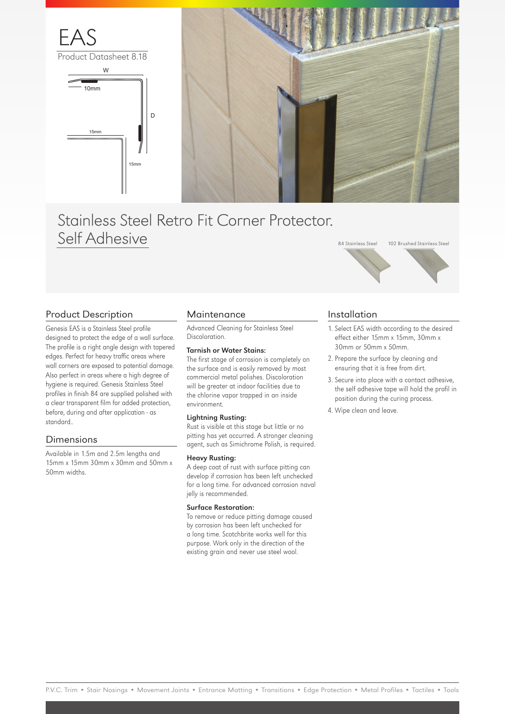

Product Datasheet 8.18





# Stainless Steel Retro Fit Corner Protector. Self Adhesive



Genesis EAS is a Stainless Steel profile designed to protect the edge of a wall surface. The profile is a right angle design with tapered edges. Perfect for heavy traffic areas where wall corners are exposed to potential damage. Also perfect in areas where a high degree of hygiene is required. Genesis Stainless Steel profiles in finish 84 are supplied polished with a clear transparent film for added protection, before, during and after application - as standard..

### Dimensions

Available in 1.5m and 2.5m lengths and 15mm x 15mm 30mm x 30mm and 50mm x 50mm widths.

### **Maintenance**

Advanced Cleaning for Stainless Steel Discoloration.

### Tarnish or Water Stains:

The first stage of corrosion is completely on the surface and is easily removed by most commercial metal polishes. Discoloration will be greater at indoor facilities due to the chlorine vapor trapped in an inside environment.

#### Lightning Rusting:

Rust is visible at this stage but little or no pitting has yet occurred. A stronger cleaning agent, such as Simichrome Polish, is required.

#### Heavy Rusting:

A deep coat of rust with surface pitting can develop if corrosion has been left unchecked for a long time. For advanced corrosion naval jelly is recommended.

### Surface Restoration:

To remove or reduce pitting damage caused by corrosion has been left unchecked for a long time. Scotchbrite works well for this purpose. Work only in the direction of the existing grain and never use steel wool.

### Installation

1. Select EAS width according to the desired effect either 15mm x 15mm, 30mm x 30mm or 50mm x 50mm.

84 Stainless Steel 102 Brushed Stainless Steel

- 2. Prepare the surface by cleaning and ensuring that it is free from dirt.
- 3. Secure into place with a contact adhesive, the self adhesive tape will hold the profil in position during the curing process.
- 4. Wipe clean and leave.